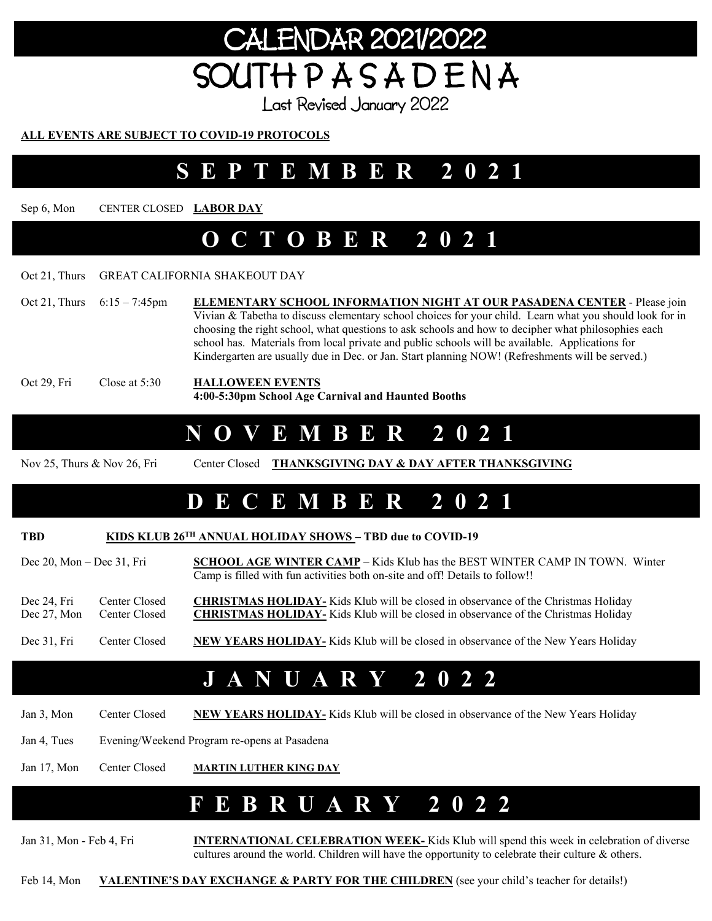# ENDAR 2021/2022 SOUTH P A S A D E N A

Last Revised January 2022

#### **ALL EVENTS ARE SUBJECT TO COVID-19 PROTOCOLS**

### **SEPTEMBER 2021**

Sep 6, Mon CENTER CLOSED **LABOR DAY** 

#### **OCTOBER 2021**

#### Oct 21, Thurs GREAT CALIFORNIA SHAKEOUT DAY

Oct 21, Thurs 6:15 - 7:45pm **ELEMENTARY SCHOOL INFORMATION NIGHT AT OUR PASADENA CENTER** - Please join Vivian & Tabetha to discuss elementary school choices for your child. Learn what you should look for in choosing the right school, what questions to ask schools and how to decipher what philosophies each school has. Materials from local private and public schools will be available. Applications for Kindergarten are usually due in Dec. or Jan. Start planning NOW! (Refreshments will be served.) Oct 29, Fri Close at 5:30 **HALLOWEEN EVENTS 4:00-5:30pm School Age Carnival and Haunted Booths**

#### **NOVEMBER 2021**

Nov 25, Thurs & Nov 26, Fri Center Closed **THANKSGIVING DAY & DAY AFTER THANKSGIVING**

# **DECEMBER 2021**

#### **TBD KIDS KLUB 26TH ANNUAL HOLIDAY SHOWS – TBD due to COVID-19**

Dec 20, Mon – Dec 31, Fri **SCHOOL AGE WINTER CAMP** – Kids Klub has the BEST WINTER CAMP IN TOWN. Winter Camp is filled with fun activities both on-site and off! Details to follow!!

Dec 24, Fri Center Closed **CHRISTMAS HOLIDAY**- Kids Klub will be closed in observance of the Christmas Holiday Dec 27, Mon Center Closed **CHRISTMAS HOLIDAY**- Kids Klub will be closed in observance of the Christmas Holiday

#### Dec 31, Fri Center Closed **NEW YEARS HOLIDAY-** Kids Klub will be closed in observance of the New Years Holiday

### **JANUARY 2022**

Jan 3, Mon Center Closed NEW YEARS HOLIDAY- Kids Klub will be closed in observance of the New Years Holiday

Jan 4, Tues Evening/Weekend Program re-opens at Pasadena

Jan 17, Mon Center Closed **MARTIN LUTHER KING DAY** 

### **FEBRUARY 2022**

Jan 31, Mon - Feb 4, Fri **INTERNATIONAL CELEBRATION WEEK-** Kids Klub will spend this week in celebration of diverse cultures around the world. Children will have the opportunity to celebrate their culture & others.

Feb 14, Mon **VALENTINE'S DAY EXCHANGE & PARTY FOR THE CHILDREN** (see your child's teacher for details!)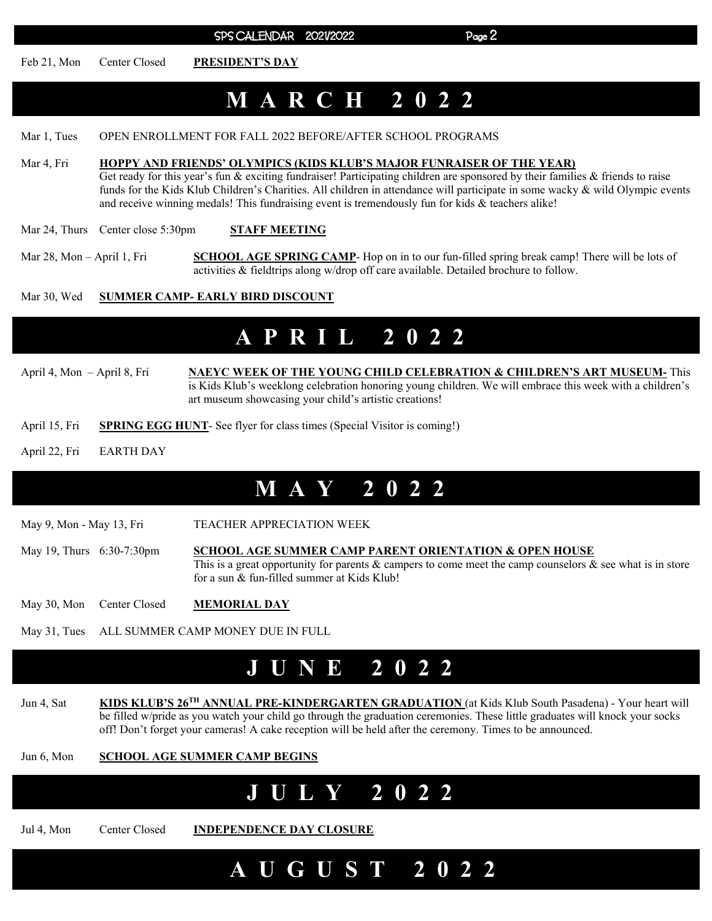SPS CALENDAR 2021/2022 Page 2

Feb 21, Mon Center Closed **PRESIDENT'S DAY** 

# **MARCH 2022**

Mar 1, Tues OPEN ENROLLMENT FOR FALL 2022 BEFORE/AFTER SCHOOL PROGRAMS

- Mar 4, Fri **HOPPY AND FRIENDS' OLYMPICS (KIDS KLUB'S MAJOR FUNRAISER OF THE YEAR)**  Get ready for this year's fun & exciting fundraiser! Participating children are sponsored by their families & friends to raise funds for the Kids Klub Children's Charities. All children in attendance will participate in some wacky & wild Olympic events and receive winning medals! This fundraising event is tremendously fun for kids & teachers alike!
- Mar 24, Thurs Center close 5:30pm **STAFF MEETING**
- Mar 28, Mon April 1, Fri**SCHOOL AGE SPRING CAMP** Hop on in to our fun-filled spring break camp! There will be lots of activities & fieldtrips along w/drop off care available. Detailed brochure to follow.

#### Mar 30, Wed **SUMMER CAMP- EARLY BIRD DISCOUNT**

#### **APRIL 2022**

- April 4, Mon April 8, Fri **NAEYC WEEK OF THE YOUNG CHILD CELEBRATION & CHILDREN'S ART MUSEUM-** This is Kids Klub's weeklong celebration honoring young children. We will embrace this week with a children's art museum showcasing your child's artistic creations!
- April 15, Fri **SPRING EGG HUNT** See flyer for class times (Special Visitor is coming!)
- April 22, Fri EARTH DAY

#### **MAY 2022**

May 9, Mon - May 13, Fri TEACHER APPRECIATION WEEK

May 19, Thurs 6:30-7:30pm **SCHOOL AGE SUMMER CAMP PARENT ORIENTATION & OPEN HOUSE**  This is a great opportunity for parents  $\&$  campers to come meet the camp counselors  $\&$  see what is in store for a sun & fun-filled summer at Kids Klub!

May 30, Mon Center Closed **MEMORIAL DAY** 

May 31, Tues ALL SUMMER CAMP MONEY DUE IN FULL

### **JUNE 2022**

- Jun 4, Sat **KIDS KLUB'S 26TH ANNUAL PRE-KINDERGARTEN GRADUATION** (at Kids Klub South Pasadena) Your heart will be filled w/pride as you watch your child go through the graduation ceremonies. These little graduates will knock your socks off! Don't forget your cameras! A cake reception will be held after the ceremony. Times to be announced.
- Jun 6, Mon **SCHOOL AGE SUMMER CAMP BEGINS**

# **JULY 2022**

Jul 4, Mon Center Closed **INDEPENDENCE DAY CLOSURE** 

 **A U G U S T 2 0 2 2**